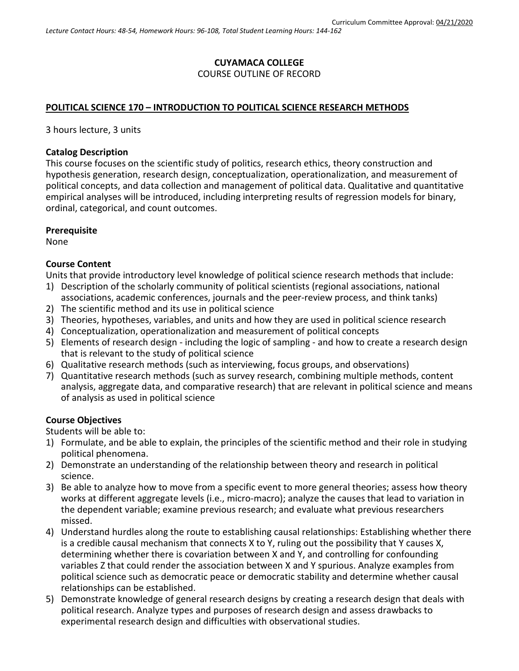# **CUYAMACA COLLEGE** COURSE OUTLINE OF RECORD

### **POLITICAL SCIENCE 170 – INTRODUCTION TO POLITICAL SCIENCE RESEARCH METHODS**

3 hours lecture, 3 units

#### **Catalog Description**

This course focuses on the scientific study of politics, research ethics, theory construction and hypothesis generation, research design, conceptualization, operationalization, and measurement of political concepts, and data collection and management of political data. Qualitative and quantitative empirical analyses will be introduced, including interpreting results of regression models for binary, ordinal, categorical, and count outcomes.

### **Prerequisite**

None

### **Course Content**

Units that provide introductory level knowledge of political science research methods that include:

- 1) Description of the scholarly community of political scientists (regional associations, national associations, academic conferences, journals and the peer-review process, and think tanks)
- 2) The scientific method and its use in political science
- 3) Theories, hypotheses, variables, and units and how they are used in political science research
- 4) Conceptualization, operationalization and measurement of political concepts
- 5) Elements of research design including the logic of sampling and how to create a research design that is relevant to the study of political science
- 6) Qualitative research methods (such as interviewing, focus groups, and observations)
- 7) Quantitative research methods (such as survey research, combining multiple methods, content analysis, aggregate data, and comparative research) that are relevant in political science and means of analysis as used in political science

### **Course Objectives**

Students will be able to:

- 1) Formulate, and be able to explain, the principles of the scientific method and their role in studying political phenomena.
- 2) Demonstrate an understanding of the relationship between theory and research in political science.
- 3) Be able to analyze how to move from a specific event to more general theories; assess how theory works at different aggregate levels (i.e., micro-macro); analyze the causes that lead to variation in the dependent variable; examine previous research; and evaluate what previous researchers missed.
- 4) Understand hurdles along the route to establishing causal relationships: Establishing whether there is a credible causal mechanism that connects X to Y, ruling out the possibility that Y causes X, determining whether there is covariation between X and Y, and controlling for confounding variables Z that could render the association between X and Y spurious. Analyze examples from political science such as democratic peace or democratic stability and determine whether causal relationships can be established.
- 5) Demonstrate knowledge of general research designs by creating a research design that deals with political research. Analyze types and purposes of research design and assess drawbacks to experimental research design and difficulties with observational studies.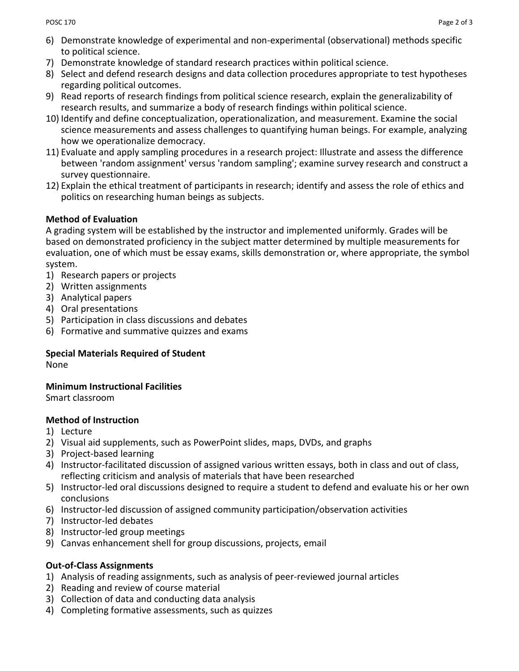- 6) Demonstrate knowledge of experimental and non-experimental (observational) methods specific to political science.
- 7) Demonstrate knowledge of standard research practices within political science.
- 8) Select and defend research designs and data collection procedures appropriate to test hypotheses regarding political outcomes.
- 9) Read reports of research findings from political science research, explain the generalizability of research results, and summarize a body of research findings within political science.
- 10) Identify and define conceptualization, operationalization, and measurement. Examine the social science measurements and assess challenges to quantifying human beings. For example, analyzing how we operationalize democracy.
- 11) Evaluate and apply sampling procedures in a research project: Illustrate and assess the difference between 'random assignment' versus 'random sampling'; examine survey research and construct a survey questionnaire.
- 12) Explain the ethical treatment of participants in research; identify and assess the role of ethics and politics on researching human beings as subjects.

### **Method of Evaluation**

A grading system will be established by the instructor and implemented uniformly. Grades will be based on demonstrated proficiency in the subject matter determined by multiple measurements for evaluation, one of which must be essay exams, skills demonstration or, where appropriate, the symbol system.

- 1) Research papers or projects
- 2) Written assignments
- 3) Analytical papers
- 4) Oral presentations
- 5) Participation in class discussions and debates
- 6) Formative and summative quizzes and exams

## **Special Materials Required of Student**

None

## **Minimum Instructional Facilities**

Smart classroom

## **Method of Instruction**

- 1) Lecture
- 2) Visual aid supplements, such as PowerPoint slides, maps, DVDs, and graphs
- 3) Project-based learning
- 4) Instructor-facilitated discussion of assigned various written essays, both in class and out of class, reflecting criticism and analysis of materials that have been researched
- 5) Instructor-led oral discussions designed to require a student to defend and evaluate his or her own conclusions
- 6) Instructor-led discussion of assigned community participation/observation activities
- 7) Instructor-led debates
- 8) Instructor-led group meetings
- 9) Canvas enhancement shell for group discussions, projects, email

## **Out-of-Class Assignments**

- 1) Analysis of reading assignments, such as analysis of peer-reviewed journal articles
- 2) Reading and review of course material
- 3) Collection of data and conducting data analysis
- 4) Completing formative assessments, such as quizzes